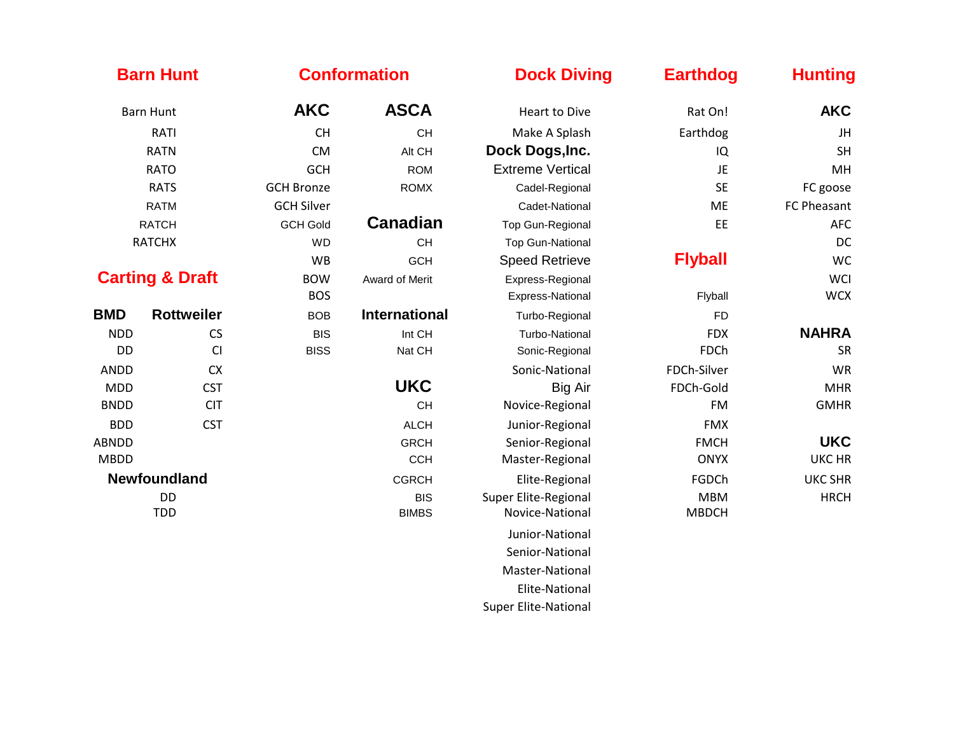| <b>Barn Hunt</b>           |                     | <b>Conformation</b> |                            | <b>Dock Diving</b>                      | <b>Earthdog</b>            | <b>Hunting</b> |
|----------------------------|---------------------|---------------------|----------------------------|-----------------------------------------|----------------------------|----------------|
| <b>Barn Hunt</b>           |                     | <b>AKC</b>          | <b>ASCA</b>                | <b>Heart to Dive</b>                    | Rat On!                    | <b>AKC</b>     |
| RATI                       |                     | <b>CH</b>           | <b>CH</b>                  | Make A Splash                           | Earthdog                   | JH             |
| <b>RATN</b>                |                     | <b>CM</b>           | Alt CH                     | Dock Dogs, Inc.                         | IQ                         | <b>SH</b>      |
| <b>RATO</b>                |                     | <b>GCH</b>          | <b>ROM</b>                 | <b>Extreme Vertical</b>                 | JE                         | MH             |
| <b>RATS</b>                |                     | <b>GCH Bronze</b>   | <b>ROMX</b>                | Cadel-Regional                          | <b>SE</b>                  | FC goose       |
| <b>RATM</b>                |                     | <b>GCH Silver</b>   |                            | Cadet-National                          | <b>ME</b>                  | FC Pheasant    |
| <b>RATCH</b>               |                     | <b>GCH Gold</b>     | <b>Canadian</b>            | <b>Top Gun-Regional</b>                 | EE                         | <b>AFC</b>     |
| <b>RATCHX</b>              |                     | <b>WD</b>           | CH                         | <b>Top Gun-National</b>                 |                            | DC             |
|                            |                     | <b>WB</b>           | <b>GCH</b>                 | <b>Speed Retrieve</b>                   | <b>Flyball</b>             | <b>WC</b>      |
| <b>Carting &amp; Draft</b> |                     | <b>BOW</b>          | Award of Merit             | Express-Regional                        |                            | <b>WCI</b>     |
|                            |                     | <b>BOS</b>          |                            | Express-National                        | Flyball                    | <b>WCX</b>     |
| <b>BMD</b>                 | <b>Rottweiler</b>   | <b>BOB</b>          | <b>International</b>       | Turbo-Regional                          | <b>FD</b>                  |                |
| <b>NDD</b>                 | CS                  | <b>BIS</b>          | Int CH                     | Turbo-National                          | <b>FDX</b>                 | <b>NAHRA</b>   |
| <b>DD</b>                  | CI                  | <b>BISS</b>         | Nat CH                     | Sonic-Regional                          | <b>FDCh</b>                | <b>SR</b>      |
| <b>ANDD</b>                | CX                  |                     |                            | Sonic-National                          | FDCh-Silver                | WR             |
| <b>MDD</b>                 | <b>CST</b>          |                     | <b>UKC</b>                 | Big Air                                 | FDCh-Gold                  | <b>MHR</b>     |
| <b>BNDD</b>                | <b>CIT</b>          |                     | <b>CH</b>                  | Novice-Regional                         | <b>FM</b>                  | <b>GMHR</b>    |
| <b>BDD</b>                 | <b>CST</b>          |                     | <b>ALCH</b>                | Junior-Regional                         | <b>FMX</b>                 |                |
| <b>ABNDD</b>               |                     |                     | <b>GRCH</b>                | Senior-Regional                         | <b>FMCH</b>                | <b>UKC</b>     |
| <b>MBDD</b>                |                     |                     | <b>CCH</b>                 | Master-Regional                         | <b>ONYX</b>                | <b>UKC HR</b>  |
|                            | <b>Newfoundland</b> |                     | <b>CGRCH</b>               | Elite-Regional                          | FGDCh                      | <b>UKC SHR</b> |
| <b>DD</b><br><b>TDD</b>    |                     |                     | <b>BIS</b><br><b>BIMBS</b> | Super Elite-Regional<br>Novice-National | <b>MBM</b><br><b>MBDCH</b> | <b>HRCH</b>    |
|                            |                     |                     |                            | Junior-National                         |                            |                |
|                            |                     |                     |                            | Senior-National                         |                            |                |
|                            |                     |                     |                            | Master-National                         |                            |                |
|                            |                     |                     |                            | Elite-National                          |                            |                |
|                            |                     |                     |                            | <b>Super Elite-National</b>             |                            |                |